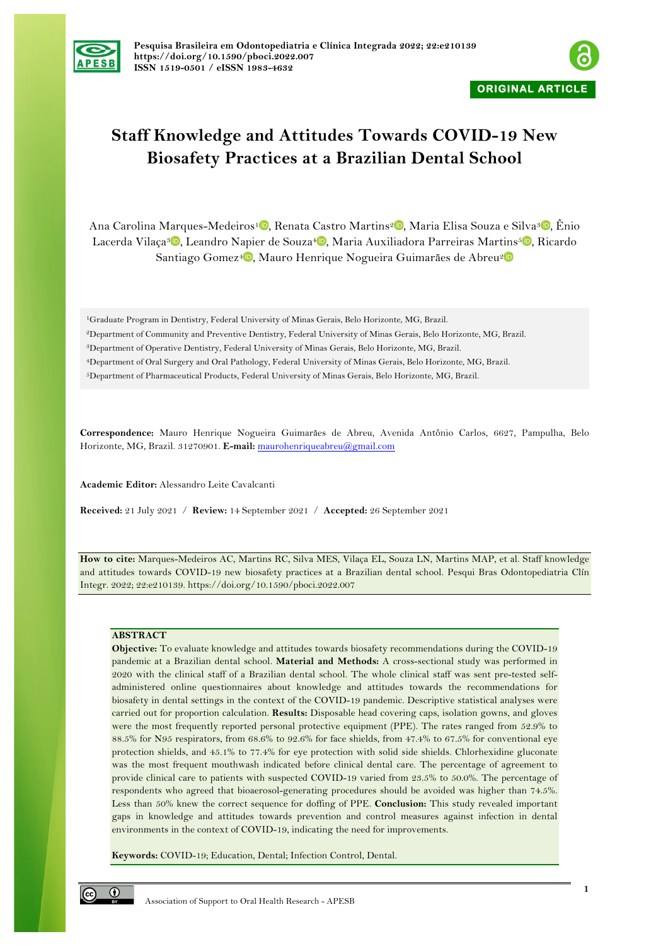



## **Staff Knowledge and Attitudes Towards COVID-19 New Biosafety Practices at a Brazilian Dental School**

Ana Carolina Marques-Medeiros<sup>1</sup> [,](https://orcid.org/0000-0001-5803-7568) Renata Castro Martins<sup>2</sup> , Maria Elisa Souza e Silva<sup>3</sup> , Ênio Lacerda Vilaça<sup>3</sup> D[,](https://orcid.org/0000-0002-5211-411X) Leandro Napier de Souza<sup>4</sup> D, Maria Auxiliadora Parreiras Martins<sup>5</sup> D, Ricardo Santiago Gomez<sup>4</sup><sup>D</sup>[,](https://orcid.org/0000-0001-8770-8009) Mauro Henrique Nogueira Guimarães de Abreu<sup>2</sup>D

1Graduate Program in Dentistry, Federal University of Minas Gerais, Belo Horizonte, MG, Brazil. 2Department of Community and Preventive Dentistry, Federal University of Minas Gerais, Belo Horizonte, MG, Brazil. 3Department of Operative Dentistry, Federal University of Minas Gerais, Belo Horizonte, MG, Brazil. 4Department of Oral Surgery and Oral Pathology, Federal University of Minas Gerais, Belo Horizonte, MG, Brazil. 5Department of Pharmaceutical Products, Federal University of Minas Gerais, Belo Horizonte, MG, Brazil.

**Correspondence:** Mauro Henrique Nogueira Guimarães de Abreu, Avenida Antônio Carlos, 6627, Pampulha, Belo Horizonte, MG, Brazil. 31270901. **E-mail:** maurohenriqueabreu@gmail.com

**Academic Editor:** Alessandro Leite Cavalcanti

**Received:** 21 July 2021 / **Review:** 14 September 2021 / **Accepted:** 26 September 2021

**How to cite:** Marques-Medeiros AC, Martins RC, Silva MES, Vilaça EL, Souza LN, Martins MAP, et al. Staff knowledge and attitudes towards COVID-19 new biosafety practices at a Brazilian dental school. Pesqui Bras Odontopediatria Clín Integr. 2022; 22:e210139. https://doi.org/10.1590/pboci.2022.007

## **ABSTRACT**

**Objective:** To evaluate knowledge and attitudes towards biosafety recommendations during the COVID-19 pandemic at a Brazilian dental school. **Material and Methods:** A cross-sectional study was performed in 2020 with the clinical staff of a Brazilian dental school. The whole clinical staff was sent pre-tested selfadministered online questionnaires about knowledge and attitudes towards the recommendations for biosafety in dental settings in the context of the COVID-19 pandemic. Descriptive statistical analyses were carried out for proportion calculation. **Results:** Disposable head covering caps, isolation gowns, and gloves were the most frequently reported personal protective equipment (PPE). The rates ranged from 52.9% to 88.5% for N95 respirators, from 68.6% to 92.6% for face shields, from 47.4% to 67.5% for conventional eye protection shields, and 45.1% to 77.4% for eye protection with solid side shields. Chlorhexidine gluconate was the most frequent mouthwash indicated before clinical dental care. The percentage of agreement to provide clinical care to patients with suspected COVID-19 varied from 23.5% to 50.0%. The percentage of respondents who agreed that bioaerosol-generating procedures should be avoided was higher than 74.5%. Less than 50% knew the correct sequence for doffing of PPE. **Conclusion:** This study revealed important gaps in knowledge and attitudes towards prevention and control measures against infection in dental environments in the context of COVID-19, indicating the need for improvements.

**Keywords:** COVID-19; Education, Dental; Infection Control, Dental.

 $\odot$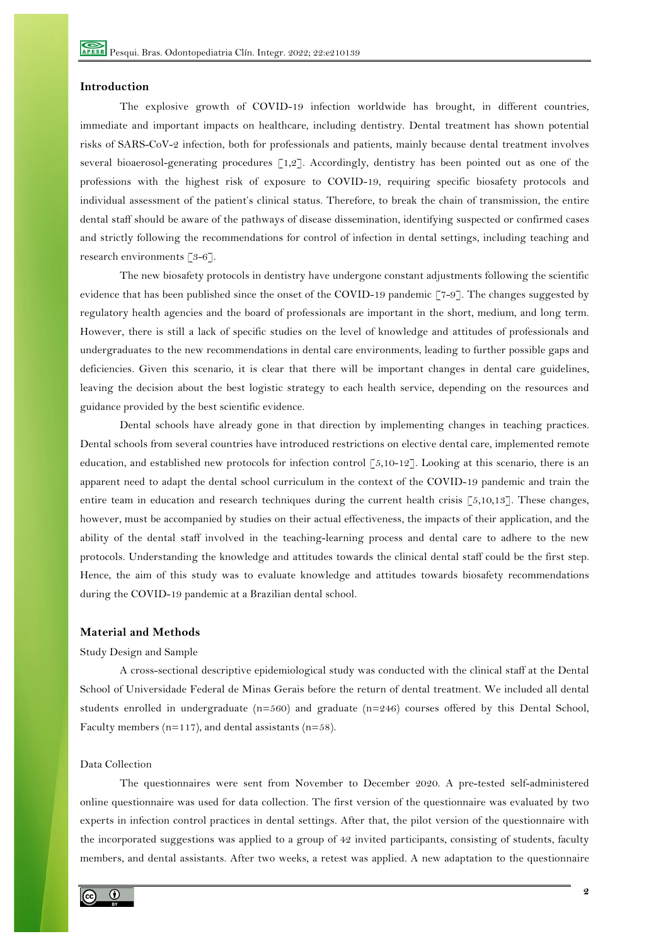## **Introduction**

The explosive growth of COVID-19 infection worldwide has brought, in different countries, immediate and important impacts on healthcare, including dentistry. Dental treatment has shown potential risks of SARS-CoV-2 infection, both for professionals and patients, mainly because dental treatment involves several bioaerosol-generating procedures [1,2]. Accordingly, dentistry has been pointed out as one of the professions with the highest risk of exposure to COVID-19, requiring specific biosafety protocols and individual assessment of the patient's clinical status. Therefore, to break the chain of transmission, the entire dental staff should be aware of the pathways of disease dissemination, identifying suspected or confirmed cases and strictly following the recommendations for control of infection in dental settings, including teaching and research environments [3-6].

The new biosafety protocols in dentistry have undergone constant adjustments following the scientific evidence that has been published since the onset of the COVID-19 pandemic [7-9]. The changes suggested by regulatory health agencies and the board of professionals are important in the short, medium, and long term. However, there is still a lack of specific studies on the level of knowledge and attitudes of professionals and undergraduates to the new recommendations in dental care environments, leading to further possible gaps and deficiencies. Given this scenario, it is clear that there will be important changes in dental care guidelines, leaving the decision about the best logistic strategy to each health service, depending on the resources and guidance provided by the best scientific evidence.

Dental schools have already gone in that direction by implementing changes in teaching practices. Dental schools from several countries have introduced restrictions on elective dental care, implemented remote education, and established new protocols for infection control  $\lceil 5, 10-12 \rceil$ . Looking at this scenario, there is an apparent need to adapt the dental school curriculum in the context of the COVID-19 pandemic and train the entire team in education and research techniques during the current health crisis [5,10,13]. These changes, however, must be accompanied by studies on their actual effectiveness, the impacts of their application, and the ability of the dental staff involved in the teaching-learning process and dental care to adhere to the new protocols. Understanding the knowledge and attitudes towards the clinical dental staff could be the first step. Hence, the aim of this study was to evaluate knowledge and attitudes towards biosafety recommendations during the COVID-19 pandemic at a Brazilian dental school.

## **Material and Methods**

#### Study Design and Sample

A cross-sectional descriptive epidemiological study was conducted with the clinical staff at the Dental School of Universidade Federal de Minas Gerais before the return of dental treatment. We included all dental students enrolled in undergraduate (n=560) and graduate (n=246) courses offered by this Dental School, Faculty members ( $n=117$ ), and dental assistants ( $n=58$ ).

## Data Collection

The questionnaires were sent from November to December 2020. A pre-tested self-administered online questionnaire was used for data collection. The first version of the questionnaire was evaluated by two experts in infection control practices in dental settings. After that, the pilot version of the questionnaire with the incorporated suggestions was applied to a group of 42 invited participants, consisting of students, faculty members, and dental assistants. After two weeks, a retest was applied. A new adaptation to the questionnaire

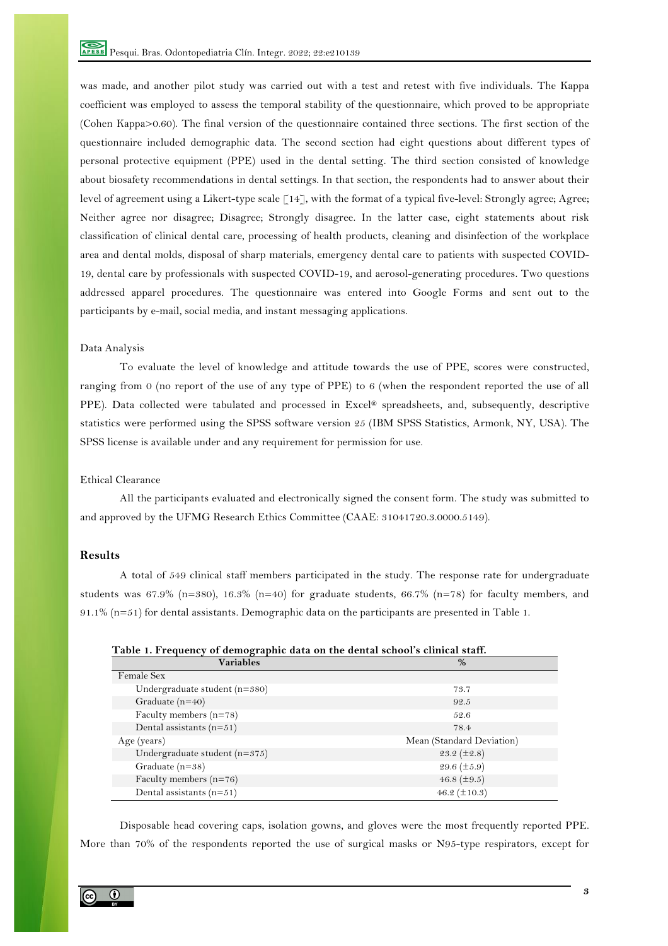was made, and another pilot study was carried out with a test and retest with five individuals. The Kappa coefficient was employed to assess the temporal stability of the questionnaire, which proved to be appropriate (Cohen Kappa>0.60). The final version of the questionnaire contained three sections. The first section of the questionnaire included demographic data. The second section had eight questions about different types of personal protective equipment (PPE) used in the dental setting. The third section consisted of knowledge about biosafety recommendations in dental settings. In that section, the respondents had to answer about their level of agreement using a Likert-type scale [14], with the format of a typical five-level: Strongly agree; Agree; Neither agree nor disagree; Disagree; Strongly disagree. In the latter case, eight statements about risk classification of clinical dental care, processing of health products, cleaning and disinfection of the workplace area and dental molds, disposal of sharp materials, emergency dental care to patients with suspected COVID-19, dental care by professionals with suspected COVID-19, and aerosol-generating procedures. Two questions addressed apparel procedures. The questionnaire was entered into Google Forms and sent out to the participants by e-mail, social media, and instant messaging applications.

## Data Analysis

To evaluate the level of knowledge and attitude towards the use of PPE, scores were constructed, ranging from 0 (no report of the use of any type of PPE) to 6 (when the respondent reported the use of all PPE). Data collected were tabulated and processed in Excel® spreadsheets, and, subsequently, descriptive statistics were performed using the SPSS software version 25 (IBM SPSS Statistics, Armonk, NY, USA). The SPSS license is available under and any requirement for permission for use.

#### Ethical Clearance

All the participants evaluated and electronically signed the consent form. The study was submitted to and approved by the UFMG Research Ethics Committee (CAAE: 31041720.3.0000.5149).

## **Results**

A total of 549 clinical staff members participated in the study. The response rate for undergraduate students was 67.9% (n=380), 16.3% (n=40) for graduate students, 66.7% (n=78) for faculty members, and  $91.1\%$  (n=51) for dental assistants. Demographic data on the participants are presented in Table 1.

| Table 1. Frequency of demographic data on the dental school's clinical staff. |                           |  |  |  |
|-------------------------------------------------------------------------------|---------------------------|--|--|--|
| <b>Variables</b>                                                              | $\%$                      |  |  |  |
| Female Sex                                                                    |                           |  |  |  |
| Undergraduate student $(n=380)$                                               | 73.7                      |  |  |  |
| Graduate $(n=40)$                                                             | 92.5                      |  |  |  |
| Faculty members $(n=78)$                                                      | 52.6                      |  |  |  |
| Dental assistants $(n=51)$                                                    | 78.4                      |  |  |  |
| Age (years)                                                                   | Mean (Standard Deviation) |  |  |  |
| Undergraduate student $(n=375)$                                               | 23.2 $(\pm 2.8)$          |  |  |  |
| Graduate $(n=38)$                                                             | 29.6 $(\pm 5.9)$          |  |  |  |
| Faculty members $(n=76)$                                                      | 46.8 $(\pm 9.5)$          |  |  |  |
| Dental assistants $(n=51)$                                                    | 46.2 $(\pm 10.3)$         |  |  |  |

Disposable head covering caps, isolation gowns, and gloves were the most frequently reported PPE. More than 70% of the respondents reported the use of surgical masks or N95-type respirators, except for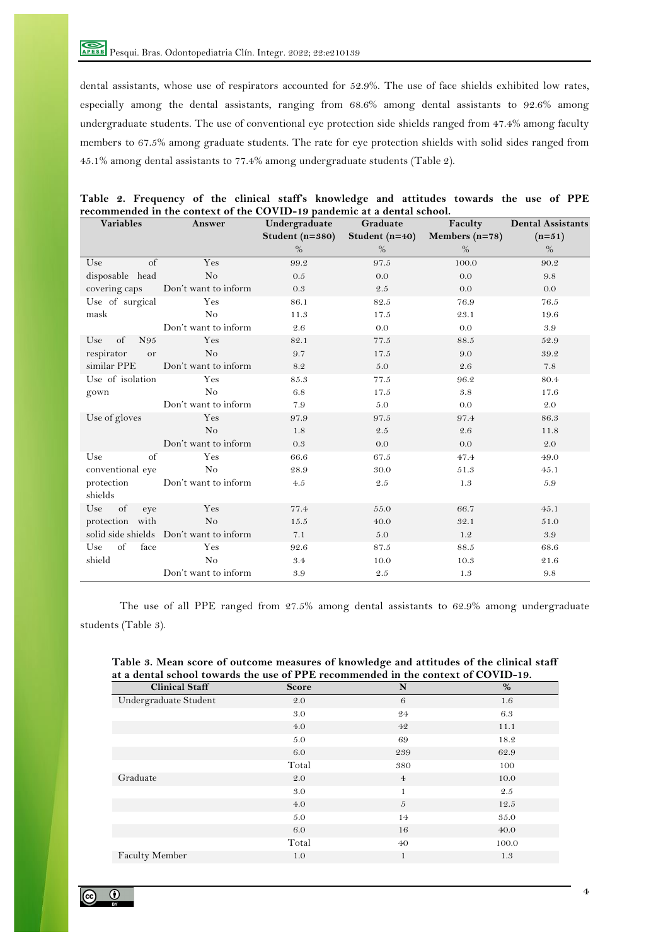dental assistants, whose use of respirators accounted for 52.9%. The use of face shields exhibited low rates, especially among the dental assistants, ranging from 68.6% among dental assistants to 92.6% among undergraduate students. The use of conventional eye protection side shields ranged from 47.4% among faculty members to 67.5% among graduate students. The rate for eye protection shields with solid sides ranged from 45.1% among dental assistants to 77.4% among undergraduate students (Table 2).

| Variables                     | recommended in the context of the COVID-19 pandemic at a dental school.<br><b>Answer</b> | Undergraduate   | Graduate         | Faculty          | <b>Dental Assistants</b> |
|-------------------------------|------------------------------------------------------------------------------------------|-----------------|------------------|------------------|--------------------------|
|                               |                                                                                          | Student (n=380) | Student $(n=40)$ | Members $(n=78)$ | $(n=51)$                 |
|                               |                                                                                          | $\%$            | $\%$             | $\%$             | $\%$                     |
| $\overline{\text{of}}$<br>Use | Yes                                                                                      | 99.2            | 97.5             | 100.0            | 90.2                     |
| disposable head               | No                                                                                       | 0.5             | 0.0              | 0.0              | 9.8                      |
| covering caps                 | Don't want to inform                                                                     | 0.3             | $2.5\,$          | 0.0              | 0.0                      |
| Use of surgical               | Yes                                                                                      | 86.1            | 82.5             | 76.9             | 76.5                     |
| mask                          | No                                                                                       | 11.3            | 17.5             | 23.1             | 19.6                     |
|                               | Don't want to inform                                                                     | 2.6             | 0.0              | 0.0              | 3.9                      |
| of<br>N95<br>Use              | Yes                                                                                      | 82.1            | 77.5             | 88.5             | 52.9                     |
| respirator<br>or              | N <sub>o</sub>                                                                           | 9.7             | 17.5             | 9.0              | 39.2                     |
| similar PPE                   | Don't want to inform                                                                     | 8.2             | 5.0              | 2.6              | 7.8                      |
| Use of isolation              | Yes                                                                                      | 85.3            | 77.5             | 96.2             | 80.4                     |
| gown                          | N <sub>o</sub>                                                                           | 6.8             | 17.5             | 3.8              | 17.6                     |
|                               | Don't want to inform                                                                     | 7.9             | 5.0              | 0.0              | 2.0                      |
| Use of gloves                 | Yes                                                                                      | 97.9            | 97.5             | 97.4             | 86.3                     |
|                               | N <sub>o</sub>                                                                           | 1.8             | 2.5              | 2.6              | 11.8                     |
|                               | Don't want to inform                                                                     | 0.3             | 0.0              | 0.0              | 2.0                      |
| $\alpha$ f<br>Use             | Yes                                                                                      | 66.6            | 67.5             | 47.4             | 49.0                     |
| conventional eye              | N <sub>o</sub>                                                                           | 28.9            | 30.0             | 51.3             | 45.1                     |
| protection                    | Don't want to inform                                                                     | 4.5             | 2.5              | 1.3              | 5.9                      |
| shields                       |                                                                                          |                 |                  |                  |                          |
| of<br>Use<br>eye              | Yes                                                                                      | 77.4            | 55.0             | 66.7             | 45.1                     |
| protection with               | N <sub>o</sub>                                                                           | 15.5            | 40.0             | 32.1             | 51.0                     |
|                               | solid side shields Don't want to inform                                                  | 7.1             | 5.0              | 1.2              | 3.9                      |
| of<br>$_{\rm face}$<br>Use    | Yes                                                                                      | 92.6            | 87.5             | 88.5             | 68.6                     |
| shield                        | N <sub>o</sub>                                                                           | 3.4             | 10.0             | 10.3             | 21.6                     |
|                               | Don't want to inform                                                                     | 3.9             | 2.5              | 1.3              | $9.8\,$                  |

|  |  |  | Table 2. Frequency of the clinical staff's knowledge and attitudes towards the use of PPE |  |  |  |  |
|--|--|--|-------------------------------------------------------------------------------------------|--|--|--|--|
|  |  |  | recommended in the context of the COVID-19 pandemic at a dental school.                   |  |  |  |  |

The use of all PPE ranged from 27.5% among dental assistants to 62.9% among undergraduate students (Table 3).

| <b>Score</b> | N                                                                                 | %     |
|--------------|-----------------------------------------------------------------------------------|-------|
| 2.0          | 6                                                                                 | 1.6   |
| 3.0          | 24                                                                                | 6.3   |
| 4.0          | 42                                                                                | 11.1  |
| 5.0          | 69                                                                                | 18.2  |
| 6.0          | 239                                                                               | 62.9  |
| Total        | 380                                                                               | 100   |
| 2.0          | $\overline{4}$                                                                    | 10.0  |
| 3.0          | 1                                                                                 | 2.5   |
| 4.0          | 5                                                                                 | 12.5  |
| 5.0          | 14                                                                                | 35.0  |
| 6.0          | 16                                                                                | 40.0  |
| Total        | 40                                                                                | 100.0 |
| 1.0          | 1                                                                                 | 1.3   |
|              | at a dental school towards the use of PPE recommended in the context of COVID-19. |       |

## **Table 3. Mean score of outcome measures of knowledge and attitudes of the clinical staff at a dental school towards the use of PPE recommended in the context of COVID-19.**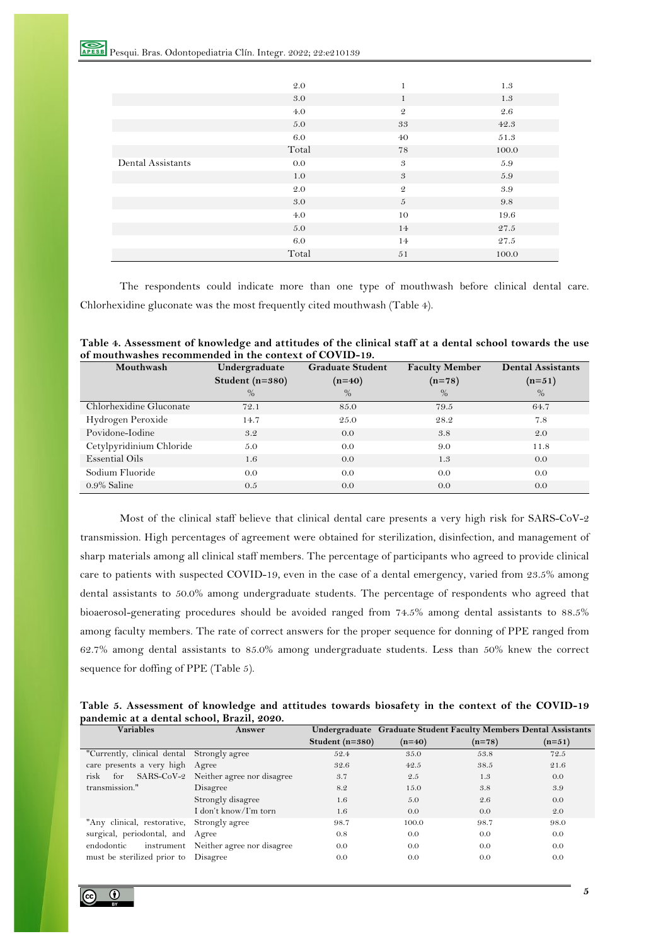|                   | 2.0   | $\mathbf{1}$               | 1.3   |
|-------------------|-------|----------------------------|-------|
|                   | 3.0   | $\mathbf{1}$               | 1.3   |
|                   | 4.0   | $\mathfrak{D}$             | 2.6   |
|                   | 5.0   | 33                         | 42.3  |
|                   | 6.0   | 40                         | 51.3  |
|                   | Total | 78                         | 100.0 |
| Dental Assistants | 0.0   | $\boldsymbol{\mathcal{S}}$ | 5.9   |
|                   | 1.0   | $\boldsymbol{\mathcal{S}}$ | 5.9   |
|                   | 2.0   | $\mathfrak{D}$             | 3.9   |
|                   | 3.0   | $\sqrt{5}$                 | 9.8   |
|                   | 4.0   | 10                         | 19.6  |
|                   | 5.0   | 14                         | 27.5  |
|                   | 6.0   | 14                         | 27.5  |
|                   | Total | 51                         | 100.0 |

The respondents could indicate more than one type of mouthwash before clinical dental care. Chlorhexidine gluconate was the most frequently cited mouthwash (Table 4).

| Mouthwash                | Undergraduate   | <b>Graduate Student</b> | <b>Faculty Member</b> | <b>Dental Assistants</b> |
|--------------------------|-----------------|-------------------------|-----------------------|--------------------------|
|                          | Student (n=380) | $(n=40)$                | $(n=78)$              | $(n=51)$                 |
|                          | $\%$            | $\%$                    | $\%$                  | $\%$                     |
| Chlorhexidine Gluconate  | 72.1            | 85.0                    | 79.5                  | 64.7                     |
| Hydrogen Peroxide        | 14.7            | 25.0                    | 28.2                  | 7.8                      |
| Povidone-Iodine          | 3.2             | 0.0                     | 3.8                   | 2.0                      |
| Cetylpyridinium Chloride | 5.0             | 0.0                     | 9.0                   | 11.8                     |
| <b>Essential Oils</b>    | 1.6             | 0.0                     | 1.3                   | 0.0                      |
| Sodium Fluoride          | 0.0             | 0.0                     | 0.0                   | 0.0                      |
| $0.9\%$ Saline           | 0.5             | 0.0                     | 0.0                   | 0.0                      |

| Table 4. Assessment of knowledge and attitudes of the clinical staff at a dental school towards the use |
|---------------------------------------------------------------------------------------------------------|
| of mouthwashes recommended in the context of COVID-19.                                                  |

Most of the clinical staff believe that clinical dental care presents a very high risk for SARS-CoV-2 transmission. High percentages of agreement were obtained for sterilization, disinfection, and management of sharp materials among all clinical staff members. The percentage of participants who agreed to provide clinical care to patients with suspected COVID-19, even in the case of a dental emergency, varied from 23.5% among dental assistants to 50.0% among undergraduate students. The percentage of respondents who agreed that bioaerosol-generating procedures should be avoided ranged from 74.5% among dental assistants to 88.5% among faculty members. The rate of correct answers for the proper sequence for donning of PPE ranged from 62.7% among dental assistants to 85.0% among undergraduate students. Less than 50% knew the correct sequence for doffing of PPE (Table 5).

| Table 5. Assessment of knowledge and attitudes towards biosafety in the context of the COVID-19 |  |  |
|-------------------------------------------------------------------------------------------------|--|--|
| pandemic at a dental school, Brazil, 2020.                                                      |  |  |

| <b>Variables</b>                           | <b>Answer</b>                         |                   |          |          | Undergraduate Graduate Student Faculty Members Dental Assistants |  |
|--------------------------------------------|---------------------------------------|-------------------|----------|----------|------------------------------------------------------------------|--|
|                                            |                                       | Student $(n=380)$ | $(n=40)$ | $(n=78)$ | $(n=51)$                                                         |  |
| "Currently, clinical dental Strongly agree |                                       | 52.4              | 35.0     | 53.8     | 72.5                                                             |  |
| care presents a very high Agree            |                                       | 32.6              | 42.5     | 38.5     | 21.6                                                             |  |
| SARS-CoV-2<br>risk<br>for                  | Neither agree nor disagree            | 3.7               | 2.5      | 1.3      | 0.0                                                              |  |
| transmission."                             | Disagree                              | 8.2               | 15.0     | 3.8      | 3.9                                                              |  |
|                                            | Strongly disagree                     | 1.6               | 5.0      | 2.6      | 0.0                                                              |  |
|                                            | I don't know/I'm torn                 | 1.6               | 0.0      | 0.0      | 2.0                                                              |  |
| "Any clinical, restorative, Strongly agree |                                       | 98.7              | 100.0    | 98.7     | 98.0                                                             |  |
| surgical, periodontal, and Agree           |                                       | 0.8               | 0.0      | 0.0      | 0.0                                                              |  |
| endodontic                                 | instrument Neither agree nor disagree | 0.0               | 0.0      | 0.0      | 0.0                                                              |  |
| must be sterilized prior to                | Disagree                              | 0.0               | 0.0      | 0.0      | 0.0                                                              |  |
|                                            |                                       |                   |          |          |                                                                  |  |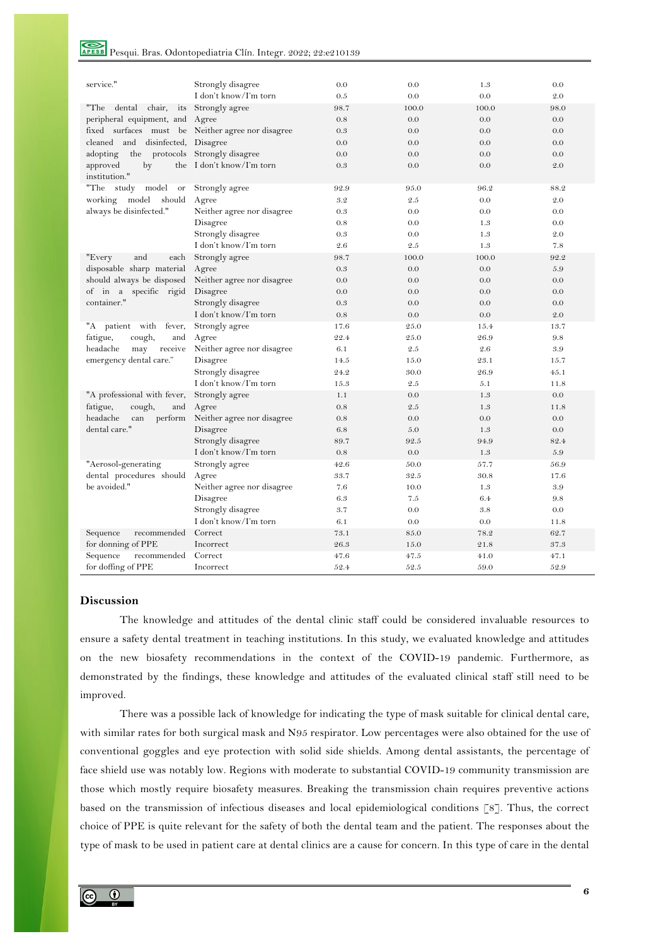# Pesqui. Bras. Odontopediatria Clín. Integr. 2022; 22:e210139

| service."                              | Strongly disagree                                 | 0.0  | 0.0   | 1.3   | 0.0   |
|----------------------------------------|---------------------------------------------------|------|-------|-------|-------|
|                                        | I don't know/I'm torn                             | 0.5  | 0.0   | 0.0   | 2.0   |
| "The<br>chair,<br>dental<br>its        | Strongly agree                                    | 98.7 | 100.0 | 100.0 | 98.0  |
| peripheral equipment, and              | Agree                                             | 0.8  | 0.0   | 0.0   | 0.0   |
|                                        | fixed surfaces must be Neither agree nor disagree | 0.3  | 0.0   | 0.0   | 0.0   |
| and disinfected,<br>cleaned            | Disagree                                          | 0.0  | 0.0   | 0.0   | 0.0   |
| the protocols<br>adopting              | Strongly disagree                                 | 0.0  | 0.0   | 0.0   | 0.0   |
| approved<br>by<br>the<br>institution." | I don't know/I'm torn                             | 0.3  | 0.0   | 0.0   | 2.0   |
| "The<br>model<br>study<br>or           | Strongly agree                                    | 92.9 | 95.0  | 96.2  | 88.2  |
| working<br>model<br>should             | Agree                                             | 3.2  | 2.5   | 0.0   | 2.0   |
| always be disinfected."                | Neither agree nor disagree                        | 0.3  | 0.0   | 0.0   | 0.0   |
|                                        | Disagree                                          | 0.8  | 0.0   | 1.3   | 0.0   |
|                                        | Strongly disagree                                 | 0.3  | 0.0   | 1.3   | 2.0   |
|                                        | I don't know/I'm torn                             | 2.6  | 2.5   | 1.3   | 7.8   |
| "Every<br>and<br>each                  | Strongly agree                                    | 98.7 | 100.0 | 100.0 | 92.2  |
| disposable sharp material              | Agree                                             | 0.3  | 0.0   | 0.0   | 5.9   |
| should always be disposed              | Neither agree nor disagree                        | 0.0  | 0.0   | 0.0   | 0.0   |
| of in a specific rigid                 | Disagree                                          | 0.0  | 0.0   | 0.0   | 0.0   |
| container."                            | Strongly disagree                                 | 0.3  | 0.0   | 0.0   | 0.0   |
|                                        | I don't know/I'm torn                             | 0.8  | 0.0   | 0.0   | 2.0   |
| patient with<br>fever,<br>"A           | Strongly agree                                    | 17.6 | 25.0  | 15.4  | 13.7  |
| fatigue,<br>cough,<br>and              | Agree                                             | 22.4 | 25.0  | 26.9  | 9.8   |
| headache<br>may<br>receive             | Neither agree nor disagree                        | 6.1  | 2.5   | 2.6   | 3.9   |
| emergency dental care."                | Disagree                                          | 14.5 | 15.0  | 23.1  | 15.7  |
|                                        | Strongly disagree                                 | 24.2 | 30.0  | 26.9  | 4.5.1 |
|                                        | I don't know/I'm torn                             | 15.3 | 2.5   | 5.1   | 11.8  |
| "A professional with fever,            | Strongly agree                                    | 1.1  | 0.0   | 1.3   | 0.0   |
| fatigue,<br>cough,<br>and              | Agree                                             | 0.8  | 2.5   | 1.3   | 11.8  |
| headache<br>perform<br>can             | Neither agree nor disagree                        | 0.8  | 0.0   | 0.0   | 0.0   |
| dental care."                          | Disagree                                          | 6.8  | 5.0   | 1.3   | 0.0   |
|                                        | Strongly disagree                                 | 89.7 | 92.5  | 94.9  | 82.4  |
|                                        | I don't know/I'm torn                             | 0.8  | 0.0   | 1.3   | 5.9   |
| "Aerosol-generating                    | Strongly agree                                    | 42.6 | 50.0  | 57.7  | 56.9  |
| dental procedures should               | Agree                                             | 33.7 | 32.5  | 30.8  | 17.6  |
| be avoided."                           | Neither agree nor disagree                        | 7.6  | 10.0  | 1.3   | 3.9   |
|                                        | Disagree                                          | 6.3  | 7.5   | 6.4   | 9.8   |
|                                        | Strongly disagree                                 | 3.7  | 0.0   | 3.8   | 0.0   |
|                                        | I don't know/I'm torn                             | 6.1  | 0.0   | 0.0   | 11.8  |
| recommended<br>Sequence                | Correct                                           | 73.1 | 85.0  | 78.2  | 62.7  |
| for donning of PPE                     | Incorrect                                         | 26.3 | 15.0  | 21.8  | 37.3  |
| recommended<br>Sequence                | Correct                                           | 47.6 | 47.5  | 41.0  | 47.1  |
| for doffing of PPE                     | Incorrect                                         | 52.4 | 52.5  | 59.0  | 52.9  |

## **Discussion**

The knowledge and attitudes of the dental clinic staff could be considered invaluable resources to ensure a safety dental treatment in teaching institutions. In this study, we evaluated knowledge and attitudes on the new biosafety recommendations in the context of the COVID-19 pandemic. Furthermore, as demonstrated by the findings, these knowledge and attitudes of the evaluated clinical staff still need to be improved.

There was a possible lack of knowledge for indicating the type of mask suitable for clinical dental care, with similar rates for both surgical mask and N95 respirator. Low percentages were also obtained for the use of conventional goggles and eye protection with solid side shields. Among dental assistants, the percentage of face shield use was notably low. Regions with moderate to substantial COVID-19 community transmission are those which mostly require biosafety measures. Breaking the transmission chain requires preventive actions based on the transmission of infectious diseases and local epidemiological conditions [8]. Thus, the correct choice of PPE is quite relevant for the safety of both the dental team and the patient. The responses about the type of mask to be used in patient care at dental clinics are a cause for concern. In this type of care in the dental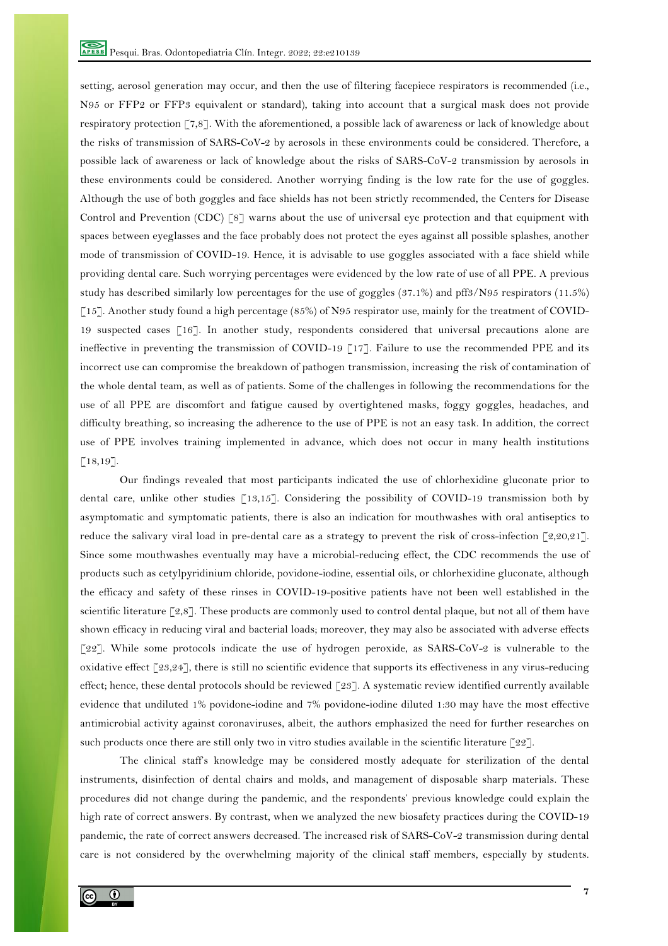setting, aerosol generation may occur, and then the use of filtering facepiece respirators is recommended (i.e., N95 or FFP2 or FFP3 equivalent or standard), taking into account that a surgical mask does not provide respiratory protection [7,8]. With the aforementioned, a possible lack of awareness or lack of knowledge about the risks of transmission of SARS-CoV-2 by aerosols in these environments could be considered. Therefore, a possible lack of awareness or lack of knowledge about the risks of SARS-CoV-2 transmission by aerosols in these environments could be considered. Another worrying finding is the low rate for the use of goggles. Although the use of both goggles and face shields has not been strictly recommended, the Centers for Disease Control and Prevention (CDC) [8] warns about the use of universal eye protection and that equipment with spaces between eyeglasses and the face probably does not protect the eyes against all possible splashes, another mode of transmission of COVID-19. Hence, it is advisable to use goggles associated with a face shield while providing dental care. Such worrying percentages were evidenced by the low rate of use of all PPE. A previous study has described similarly low percentages for the use of goggles (37.1%) and pff3/N95 respirators (11.5%) [15]. Another study found a high percentage (85%) of N95 respirator use, mainly for the treatment of COVID-19 suspected cases [16]. In another study, respondents considered that universal precautions alone are ineffective in preventing the transmission of COVID-19 [17]. Failure to use the recommended PPE and its incorrect use can compromise the breakdown of pathogen transmission, increasing the risk of contamination of the whole dental team, as well as of patients. Some of the challenges in following the recommendations for the use of all PPE are discomfort and fatigue caused by overtightened masks, foggy goggles, headaches, and difficulty breathing, so increasing the adherence to the use of PPE is not an easy task. In addition, the correct use of PPE involves training implemented in advance, which does not occur in many health institutions [18,19].

Our findings revealed that most participants indicated the use of chlorhexidine gluconate prior to dental care, unlike other studies [13,15]. Considering the possibility of COVID-19 transmission both by asymptomatic and symptomatic patients, there is also an indication for mouthwashes with oral antiseptics to reduce the salivary viral load in pre-dental care as a strategy to prevent the risk of cross-infection [2,20,21]. Since some mouthwashes eventually may have a microbial-reducing effect, the CDC recommends the use of products such as cetylpyridinium chloride, povidone-iodine, essential oils, or chlorhexidine gluconate, although the efficacy and safety of these rinses in COVID-19-positive patients have not been well established in the scientific literature [2,8]. These products are commonly used to control dental plaque, but not all of them have shown efficacy in reducing viral and bacterial loads; moreover, they may also be associated with adverse effects [22]. While some protocols indicate the use of hydrogen peroxide, as SARS-CoV-2 is vulnerable to the oxidative effect [23,24], there is still no scientific evidence that supports its effectiveness in any virus-reducing effect; hence, these dental protocols should be reviewed [23]. A systematic review identified currently available evidence that undiluted 1% povidone-iodine and 7% povidone-iodine diluted 1:30 may have the most effective antimicrobial activity against coronaviruses, albeit, the authors emphasized the need for further researches on such products once there are still only two in vitro studies available in the scientific literature [22].

The clinical staff's knowledge may be considered mostly adequate for sterilization of the dental instruments, disinfection of dental chairs and molds, and management of disposable sharp materials. These procedures did not change during the pandemic, and the respondents' previous knowledge could explain the high rate of correct answers. By contrast, when we analyzed the new biosafety practices during the COVID-19 pandemic, the rate of correct answers decreased. The increased risk of SARS-CoV-2 transmission during dental care is not considered by the overwhelming majority of the clinical staff members, especially by students.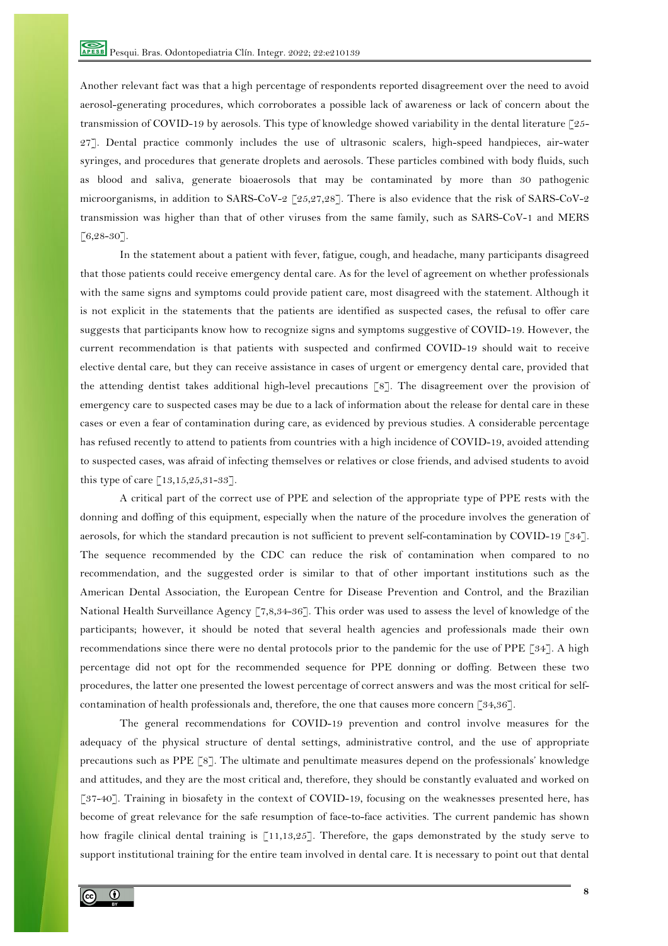Another relevant fact was that a high percentage of respondents reported disagreement over the need to avoid aerosol-generating procedures, which corroborates a possible lack of awareness or lack of concern about the transmission of COVID-19 by aerosols. This type of knowledge showed variability in the dental literature [25- 27]. Dental practice commonly includes the use of ultrasonic scalers, high-speed handpieces, air-water syringes, and procedures that generate droplets and aerosols. These particles combined with body fluids, such as blood and saliva, generate bioaerosols that may be contaminated by more than 30 pathogenic microorganisms, in addition to SARS-CoV-2  $\lceil 25, 27, 28 \rceil$ . There is also evidence that the risk of SARS-CoV-2 transmission was higher than that of other viruses from the same family, such as SARS-CoV-1 and MERS  $[6, 28 - 30]$ .

In the statement about a patient with fever, fatigue, cough, and headache, many participants disagreed that those patients could receive emergency dental care. As for the level of agreement on whether professionals with the same signs and symptoms could provide patient care, most disagreed with the statement. Although it is not explicit in the statements that the patients are identified as suspected cases, the refusal to offer care suggests that participants know how to recognize signs and symptoms suggestive of COVID-19. However, the current recommendation is that patients with suspected and confirmed COVID-19 should wait to receive elective dental care, but they can receive assistance in cases of urgent or emergency dental care, provided that the attending dentist takes additional high-level precautions [8]. The disagreement over the provision of emergency care to suspected cases may be due to a lack of information about the release for dental care in these cases or even a fear of contamination during care, as evidenced by previous studies. A considerable percentage has refused recently to attend to patients from countries with a high incidence of COVID-19, avoided attending to suspected cases, was afraid of infecting themselves or relatives or close friends, and advised students to avoid this type of care [13,15,25,31-33].

A critical part of the correct use of PPE and selection of the appropriate type of PPE rests with the donning and doffing of this equipment, especially when the nature of the procedure involves the generation of aerosols, for which the standard precaution is not sufficient to prevent self-contamination by COVID-19 [34]. The sequence recommended by the CDC can reduce the risk of contamination when compared to no recommendation, and the suggested order is similar to that of other important institutions such as the American Dental Association, the European Centre for Disease Prevention and Control, and the Brazilian National Health Surveillance Agency [7,8,34-36]. This order was used to assess the level of knowledge of the participants; however, it should be noted that several health agencies and professionals made their own recommendations since there were no dental protocols prior to the pandemic for the use of PPE [34]. A high percentage did not opt for the recommended sequence for PPE donning or doffing. Between these two procedures, the latter one presented the lowest percentage of correct answers and was the most critical for selfcontamination of health professionals and, therefore, the one that causes more concern [34,36].

The general recommendations for COVID-19 prevention and control involve measures for the adequacy of the physical structure of dental settings, administrative control, and the use of appropriate precautions such as PPE [8]. The ultimate and penultimate measures depend on the professionals' knowledge and attitudes, and they are the most critical and, therefore, they should be constantly evaluated and worked on [37-40]. Training in biosafety in the context of COVID-19, focusing on the weaknesses presented here, has become of great relevance for the safe resumption of face-to-face activities. The current pandemic has shown how fragile clinical dental training is [11,13,25]. Therefore, the gaps demonstrated by the study serve to support institutional training for the entire team involved in dental care. It is necessary to point out that dental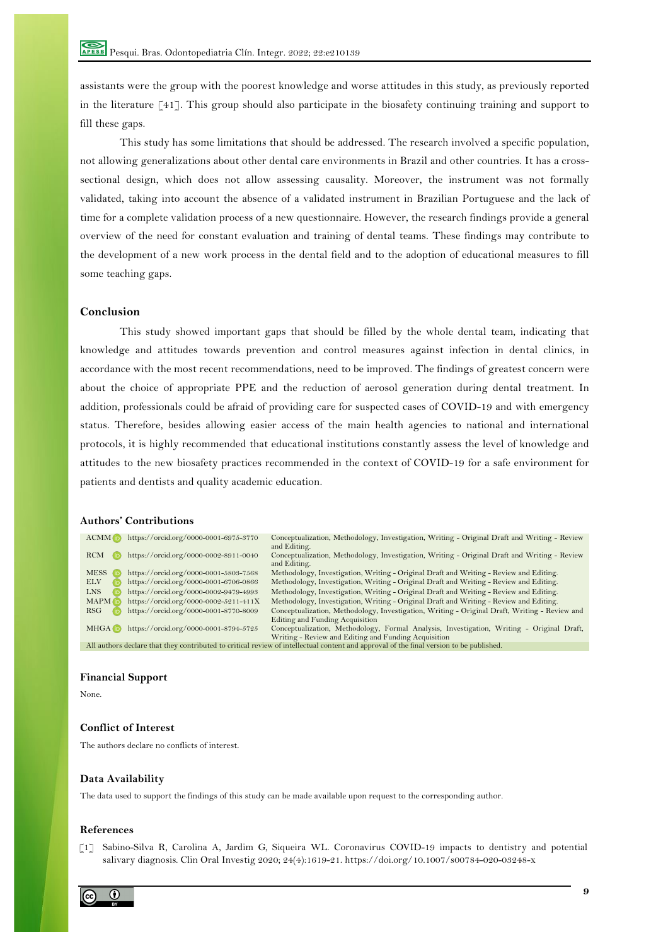assistants were the group with the poorest knowledge and worse attitudes in this study, as previously reported in the literature [41]. This group should also participate in the biosafety continuing training and support to fill these gaps.

This study has some limitations that should be addressed. The research involved a specific population, not allowing generalizations about other dental care environments in Brazil and other countries. It has a crosssectional design, which does not allow assessing causality. Moreover, the instrument was not formally validated, taking into account the absence of a validated instrument in Brazilian Portuguese and the lack of time for a complete validation process of a new questionnaire. However, the research findings provide a general overview of the need for constant evaluation and training of dental teams. These findings may contribute to the development of a new work process in the dental field and to the adoption of educational measures to fill some teaching gaps.

## **Conclusion**

This study showed important gaps that should be filled by the whole dental team, indicating that knowledge and attitudes towards prevention and control measures against infection in dental clinics, in accordance with the most recent recommendations, need to be improved. The findings of greatest concern were about the choice of appropriate PPE and the reduction of aerosol generation during dental treatment. In addition, professionals could be afraid of providing care for suspected cases of COVID-19 and with emergency status. Therefore, besides allowing easier access of the main health agencies to national and international protocols, it is highly recommended that educational institutions constantly assess the level of knowledge and attitudes to the new biosafety practices recommended in the context of COVID-19 for a safe environment for patients and dentists and quality academic education.

## **Authors' Contributions**

| $ACMM$ ( $\overline{D}$ ) | https://orcid.org/0000-0001-6975-3770 | Conceptualization, Methodology, Investigation, Writing - Original Draft and Writing - Review<br>and Editing.                            |
|---------------------------|---------------------------------------|-----------------------------------------------------------------------------------------------------------------------------------------|
| <b>RCM</b>                | https://orcid.org/0000-0002-8911-0040 | Conceptualization, Methodology, Investigation, Writing - Original Draft and Writing - Review<br>and Editing.                            |
| <b>MESS</b>               | https://orcid.org/0000-0001-5803-7568 | Methodology, Investigation, Writing - Original Draft and Writing - Review and Editing.                                                  |
| <b>ELV</b>                | https://orcid.org/0000-0001-6706-0866 | Methodology, Investigation, Writing - Original Draft and Writing - Review and Editing.                                                  |
| <b>LNS</b>                | https://orcid.org/0000-0002-9479-4993 | Methodology, Investigation, Writing - Original Draft and Writing - Review and Editing.                                                  |
| <b>MAPM</b> (i)           | https://orcid.org/0000-0002-5211-411X | Methodology, Investigation, Writing - Original Draft and Writing - Review and Editing.                                                  |
| RSG                       | https://orcid.org/0000-0001-8770-8009 | Conceptualization, Methodology, Investigation, Writing - Original Draft, Writing - Review and                                           |
|                           |                                       | Editing and Funding Acquisition                                                                                                         |
| MHGA <sub>D</sub>         | https://orcid.org/0000-0001-8794-5725 | Conceptualization, Methodology, Formal Analysis, Investigation, Writing - Original Draft,                                               |
|                           |                                       | Writing - Review and Editing and Funding Acquisition                                                                                    |
|                           |                                       | All authors declare that they contributed to critical review of intellectual content and approval of the final version to be published. |

#### **Financial Support**

None.

## **Conflict of Interest**

The authors declare no conflicts of interest.

## **Data Availability**

The data used to support the findings of this study can be made available upon request to the corresponding author.

#### **References**

 [1] Sabino-Silva R, Carolina A, Jardim G, Siqueira WL. Coronavirus COVID-19 impacts to dentistry and potential salivary diagnosis. Clin Oral Investig 2020; 24(4):1619-21. https://doi.org/10.1007/s00784-020-03248-x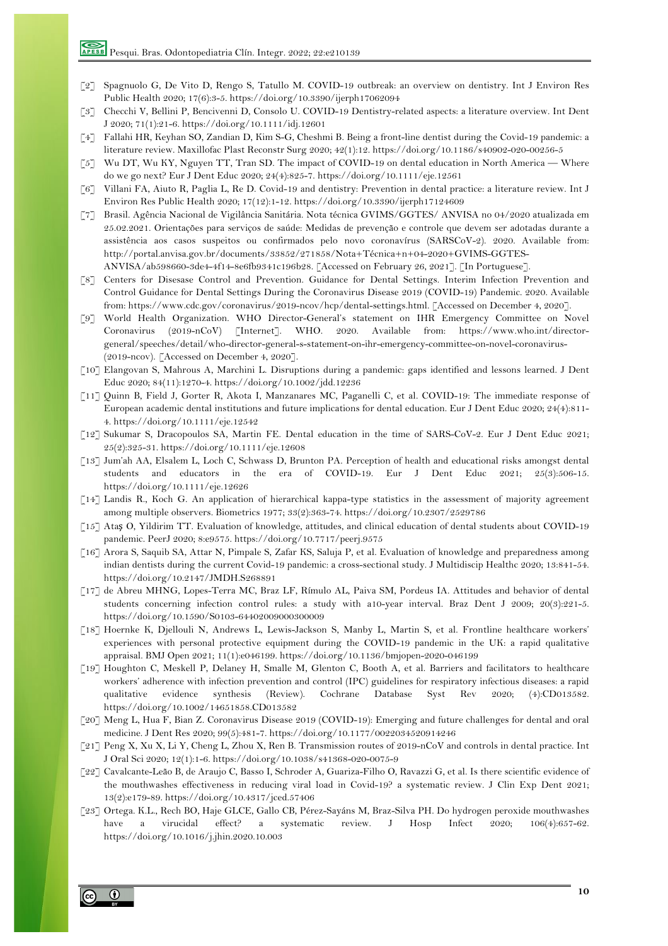- [2] Spagnuolo G, De Vito D, Rengo S, Tatullo M. COVID-19 outbreak: an overview on dentistry. Int J Environ Res Public Health 2020; 17(6):3-5. https://doi.org/10.3390/ijerph17062094
- [3] Checchi V, Bellini P, Bencivenni D, Consolo U. COVID-19 Dentistry-related aspects: a literature overview. Int Dent J 2020; 71(1):21-6. https://doi.org/10.1111/idj.12601
- [4] Fallahi HR, Keyhan SO, Zandian D, Kim S-G, Cheshmi B. Being a front-line dentist during the Covid-19 pandemic: a literature review. Maxillofac Plast Reconstr Surg 2020; 42(1):12. https://doi.org/10.1186/s40902-020-00256-5
- [5] Wu DT, Wu KY, Nguyen TT, Tran SD. The impact of COVID-19 on dental education in North America Where do we go next? Eur J Dent Educ 2020; 24(4):825-7. https://doi.org/10.1111/eje.12561
- [6] Villani FA, Aiuto R, Paglia L, Re D. Covid-19 and dentistry: Prevention in dental practice: a literature review. Int J Environ Res Public Health 2020; 17(12):1-12. https://doi.org/10.3390/ijerph17124609
- [7] Brasil. Agência Nacional de Vigilância Sanitária. Nota técnica GVIMS/GGTES/ ANVISA no 04/2020 atualizada em 25.02.2021. Orientações para serviços de saúde: Medidas de prevenção e controle que devem ser adotadas durante a assistência aos casos suspeitos ou confirmados pelo novo coronavírus (SARSCoV-2). 2020. Available from: http://portal.anvisa.gov.br/documents/33852/271858/Nota+Técnica+n+04-2020+GVIMS-GGTES-ANVISA/ab598660-3de4-4f14-8e6fb9341c196b28. [Accessed on February 26, 2021]. [In Portuguese].
- [8] Centers for Disesase Control and Prevention. Guidance for Dental Settings. Interim Infection Prevention and Control Guidance for Dental Settings During the Coronavirus Disease 2019 (COVID-19) Pandemic. 2020. Available from: https://www.cdc.gov/coronavirus/2019-ncov/hcp/dental-settings.html. [Accessed on December 4, 2020].
- [9] World Health Organization. WHO Director-General's statement on IHR Emergency Committee on Novel Coronavirus (2019-nCoV) [Internet]. WHO. 2020. Available from: https://www.who.int/directorgeneral/speeches/detail/who-director-general-s-statement-on-ihr-emergency-committee-on-novel-coronavirus- (2019-ncov). [Accessed on December 4, 2020].
- [10] Elangovan S, Mahrous A, Marchini L. Disruptions during a pandemic: gaps identified and lessons learned. J Dent Educ 2020; 84(11):1270-4. https://doi.org/10.1002/jdd.12236
- [11] Quinn B, Field J, Gorter R, Akota I, Manzanares MC, Paganelli C, et al. COVID-19: The immediate response of European academic dental institutions and future implications for dental education. Eur J Dent Educ 2020; 24(4):811- 4. https://doi.org/10.1111/eje.12542
- [12] Sukumar S, Dracopoulos SA, Martin FE. Dental education in the time of SARS-CoV-2. Eur J Dent Educ 2021; 25(2):325-31. https://doi.org/10.1111/eje.12608
- [13] Jum'ah AA, Elsalem L, Loch C, Schwass D, Brunton PA. Perception of health and educational risks amongst dental students and educators in the era of COVID-19. Eur J Dent Educ 2021; 25(3):506-15. https://doi.org/10.1111/eje.12626
- [14] Landis R., Koch G. An application of hierarchical kappa-type statistics in the assessment of majority agreement among multiple observers. Biometrics 1977; 33(2):363-74. https://doi.org/10.2307/2529786
- [15] Ataş O, Yildirim TT. Evaluation of knowledge, attitudes, and clinical education of dental students about COVID-19 pandemic. PeerJ 2020; 8:e9575. https://doi.org/10.7717/peerj.9575
- [16] Arora S, Saquib SA, Attar N, Pimpale S, Zafar KS, Saluja P, et al. Evaluation of knowledge and preparedness among indian dentists during the current Covid-19 pandemic: a cross-sectional study. J Multidiscip Healthc 2020; 13:841-54. https://doi.org/10.2147/JMDH.S268891
- [17] de Abreu MHNG, Lopes-Terra MC, Braz LF, Rímulo AL, Paiva SM, Pordeus IA. Attitudes and behavior of dental students concerning infection control rules: a study with a10-year interval. Braz Dent J 2009; 20(3):221-5. https://doi.org/10.1590/S0103-64402009000300009
- [18] Hoernke K, Djellouli N, Andrews L, Lewis-Jackson S, Manby L, Martin S, et al. Frontline healthcare workers' experiences with personal protective equipment during the COVID-19 pandemic in the UK: a rapid qualitative appraisal. BMJ Open 2021; 11(1):e046199. https://doi.org/10.1136/bmjopen-2020-046199
- [19] Houghton C, Meskell P, Delaney H, Smalle M, Glenton C, Booth A, et al. Barriers and facilitators to healthcare workers' adherence with infection prevention and control (IPC) guidelines for respiratory infectious diseases: a rapid qualitative evidence synthesis (Review). Cochrane Database Syst Rev 2020; (4):CD013582. https://doi.org/10.1002/14651858.CD013582
- [20] Meng L, Hua F, Bian Z. Coronavirus Disease 2019 (COVID-19): Emerging and future challenges for dental and oral medicine. J Dent Res 2020; 99(5):481-7. https://doi.org/10.1177/0022034520914246
- [21] Peng X, Xu X, Li Y, Cheng L, Zhou X, Ren B. Transmission routes of 2019-nCoV and controls in dental practice. Int J Oral Sci 2020; 12(1):1-6. https://doi.org/10.1038/s41368-020-0075-9
- [22] Cavalcante-Leão B, de Araujo C, Basso I, Schroder A, Guariza-Filho O, Ravazzi G, et al. Is there scientific evidence of the mouthwashes effectiveness in reducing viral load in Covid-19? a systematic review. J Clin Exp Dent 2021; 13(2):e179-89. https://doi.org/10.4317/jced.57406
- [23] Ortega. K.L., Rech BO, Haje GLCE, Gallo CB, Pérez-Sayáns M, Braz-Silva PH. Do hydrogen peroxide mouthwashes have a virucidal effect? a systematic review. J Hosp Infect 2020; 106(4):657-62. https://doi.org/10.1016/j.jhin.2020.10.003